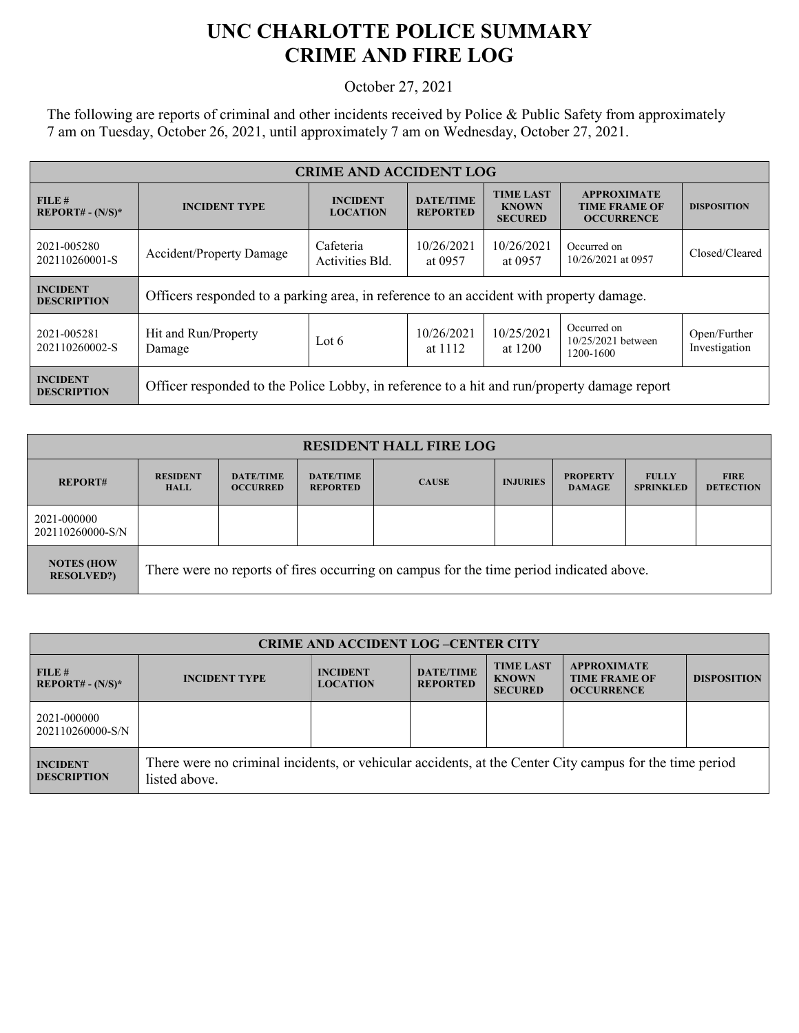## **UNC CHARLOTTE POLICE SUMMARY CRIME AND FIRE LOG**

October 27, 2021

The following are reports of criminal and other incidents received by Police & Public Safety from approximately 7 am on Tuesday, October 26, 2021, until approximately 7 am on Wednesday, October 27, 2021.

| <b>CRIME AND ACCIDENT LOG</b>         |                                                                                             |                                    |                                     |                                                            |                                                                 |                               |  |
|---------------------------------------|---------------------------------------------------------------------------------------------|------------------------------------|-------------------------------------|------------------------------------------------------------|-----------------------------------------------------------------|-------------------------------|--|
| FILE#<br>$REPORT# - (N/S)*$           | <b>INCIDENT TYPE</b>                                                                        | <b>INCIDENT</b><br><b>LOCATION</b> | <b>DATE/TIME</b><br><b>REPORTED</b> | <b>TIME LAST</b><br><b>KNOWN</b><br><b>SECURED</b>         | <b>APPROXIMATE</b><br><b>TIME FRAME OF</b><br><b>OCCURRENCE</b> | <b>DISPOSITION</b>            |  |
| 2021-005280<br>202110260001-S         | <b>Accident/Property Damage</b>                                                             | Cafeteria<br>Activities Bld.       | 10/26/2021<br>at 0957               | 10/26/2021<br>Occurred on<br>10/26/2021 at 0957<br>at 0957 |                                                                 | Closed/Cleared                |  |
| <b>INCIDENT</b><br><b>DESCRIPTION</b> | Officers responded to a parking area, in reference to an accident with property damage.     |                                    |                                     |                                                            |                                                                 |                               |  |
| 2021-005281<br>202110260002-S         | Hit and Run/Property<br>Lot 6<br>Damage                                                     |                                    | 10/26/2021<br>at 1112               | 10/25/2021<br>at 1200                                      | Occurred on<br>10/25/2021 between<br>1200-1600                  | Open/Further<br>Investigation |  |
| <b>INCIDENT</b><br><b>DESCRIPTION</b> | Officer responded to the Police Lobby, in reference to a hit and run/property damage report |                                    |                                     |                                                            |                                                                 |                               |  |

| <b>RESIDENT HALL FIRE LOG</b>          |                                                                                         |                                     |                                     |              |                 |                                  |                                  |                                 |
|----------------------------------------|-----------------------------------------------------------------------------------------|-------------------------------------|-------------------------------------|--------------|-----------------|----------------------------------|----------------------------------|---------------------------------|
| <b>REPORT#</b>                         | <b>RESIDENT</b><br><b>HALL</b>                                                          | <b>DATE/TIME</b><br><b>OCCURRED</b> | <b>DATE/TIME</b><br><b>REPORTED</b> | <b>CAUSE</b> | <b>INJURIES</b> | <b>PROPERTY</b><br><b>DAMAGE</b> | <b>FULLY</b><br><b>SPRINKLED</b> | <b>FIRE</b><br><b>DETECTION</b> |
| 2021-000000<br>202110260000-S/N        |                                                                                         |                                     |                                     |              |                 |                                  |                                  |                                 |
| <b>NOTES (HOW</b><br><b>RESOLVED?)</b> | There were no reports of fires occurring on campus for the time period indicated above. |                                     |                                     |              |                 |                                  |                                  |                                 |

| <b>CRIME AND ACCIDENT LOG-CENTER CITY</b> |                                                                                                                          |                                    |                                     |                                                    |                                                                 |                    |  |
|-------------------------------------------|--------------------------------------------------------------------------------------------------------------------------|------------------------------------|-------------------------------------|----------------------------------------------------|-----------------------------------------------------------------|--------------------|--|
| FILE#<br>$REPORT# - (N/S)*$               | <b>INCIDENT TYPE</b>                                                                                                     | <b>INCIDENT</b><br><b>LOCATION</b> | <b>DATE/TIME</b><br><b>REPORTED</b> | <b>TIME LAST</b><br><b>KNOWN</b><br><b>SECURED</b> | <b>APPROXIMATE</b><br><b>TIME FRAME OF</b><br><b>OCCURRENCE</b> | <b>DISPOSITION</b> |  |
| 2021-000000<br>202110260000-S/N           |                                                                                                                          |                                    |                                     |                                                    |                                                                 |                    |  |
| <b>INCIDENT</b><br><b>DESCRIPTION</b>     | There were no criminal incidents, or vehicular accidents, at the Center City campus for the time period<br>listed above. |                                    |                                     |                                                    |                                                                 |                    |  |